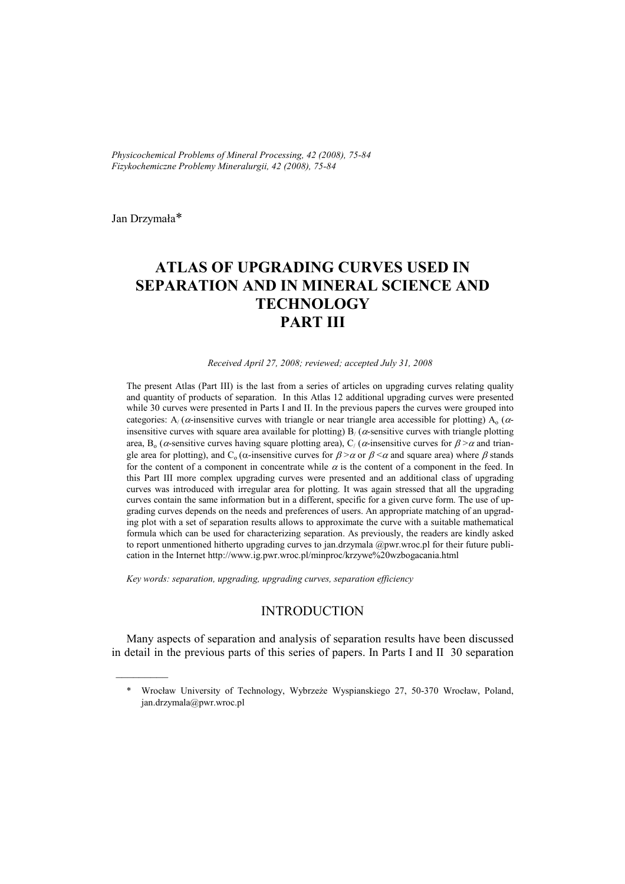*Physicochemical Problems of Mineral Processing, 42 (2008), 75-84 Fizykochemiczne Problemy Mineralurgii, 42 (2008), 75-84*

Jan Drzymała\*

 $\frac{1}{2}$  ,  $\frac{1}{2}$  ,  $\frac{1}{2}$  ,  $\frac{1}{2}$  ,  $\frac{1}{2}$  ,  $\frac{1}{2}$ 

# **ATLAS OF UPGRADING CURVES USED IN SEPARATION AND IN MINERAL SCIENCE AND TECHNOLOGY PART III**

#### *Received April 27, 2008; reviewed; accepted July 31, 2008*

The present Atlas (Part III) is the last from a series of articles on upgrading curves relating quality and quantity of products of separation. In this Atlas 12 additional upgrading curves were presented while 30 curves were presented in Parts I and II. In the previous papers the curves were grouped into categories:  $A/(a$ -insensitive curves with triangle or near triangle area accessible for plotting)  $A_0(a)$ insensitive curves with square area available for plotting)  $B/(a)$ -sensitive curves with triangle plotting area,  $B_0$  ( $\alpha$ -sensitive curves having square plotting area),  $C_i$  ( $\alpha$ -insensitive curves for  $\beta > \alpha$  and triangle area for plotting), and C<sub>o</sub> ( $\alpha$ -insensitive curves for  $\beta > \alpha$  or  $\beta < \alpha$  and square area) where  $\beta$  stands for the content of a component in concentrate while  $\alpha$  is the content of a component in the feed. In this Part III more complex upgrading curves were presented and an additional class of upgrading curves was introduced with irregular area for plotting. It was again stressed that all the upgrading curves contain the same information but in a different, specific for a given curve form. The use of upgrading curves depends on the needs and preferences of users. An appropriate matching of an upgrading plot with a set of separation results allows to approximate the curve with a suitable mathematical formula which can be used for characterizing separation. As previously, the readers are kindly asked to report unmentioned hitherto upgrading curves to jan.drzymala @pwr.wroc.pl for their future publication in the Internet http://www.ig.pwr.wroc.pl/minproc/krzywe%20wzbogacania.html

*Key words: separation, upgrading, upgrading curves, separation efficiency* 

# INTRODUCTION

Many aspects of separation and analysis of separation results have been discussed in detail in the previous parts of this series of papers. In Parts I and II 30 separation

<sup>\*</sup> Wrocław University of Technology, Wybrzeże Wyspianskiego 27, 50-370 Wrocław, Poland, jan.drzymala@pwr.wroc.pl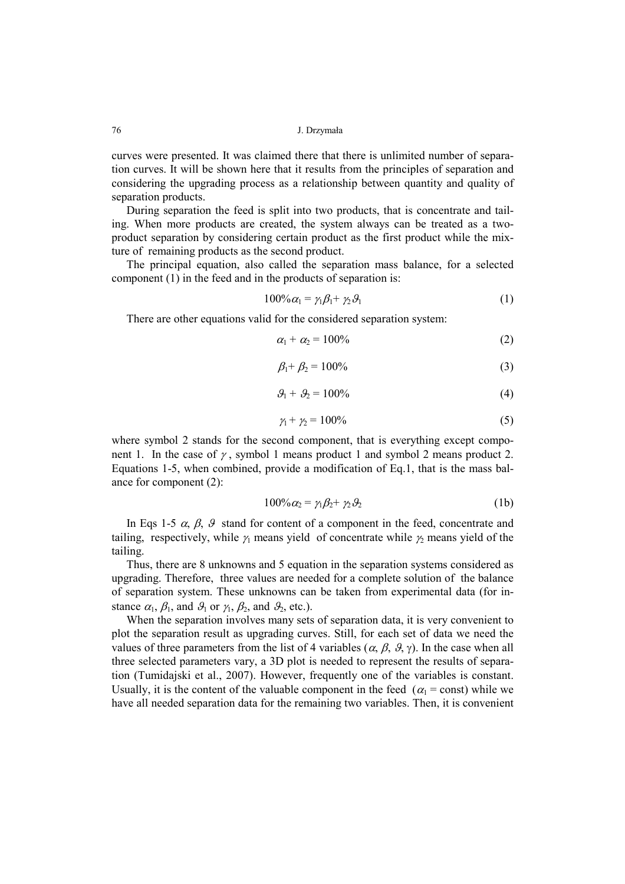curves were presented. It was claimed there that there is unlimited number of separation curves. It will be shown here that it results from the principles of separation and considering the upgrading process as a relationship between quantity and quality of separation products.

During separation the feed is split into two products, that is concentrate and tailing. When more products are created, the system always can be treated as a twoproduct separation by considering certain product as the first product while the mixture of remaining products as the second product.

The principal equation, also called the separation mass balance, for a selected component (1) in the feed and in the products of separation is:

$$
100\% \alpha_1 = \gamma_1 \beta_1 + \gamma_2 \beta_1 \tag{1}
$$

There are other equations valid for the considered separation system:

$$
\alpha_1 + \alpha_2 = 100\% \tag{2}
$$

$$
\beta_1 + \beta_2 = 100\% \tag{3}
$$

$$
\mathcal{G}_1 + \mathcal{G}_2 = 100\% \tag{4}
$$

$$
\gamma_1 + \gamma_2 = 100\% \tag{5}
$$

where symbol 2 stands for the second component, that is everything except component 1. In the case of  $\gamma$ , symbol 1 means product 1 and symbol 2 means product 2. Equations 1-5, when combined, provide a modification of Eq.1, that is the mass balance for component (2):

$$
100\% \alpha_2 = \gamma_1 \beta_2 + \gamma_2 \beta_2 \tag{1b}
$$

In Eqs 1-5  $\alpha$ ,  $\beta$ ,  $\beta$  stand for content of a component in the feed, concentrate and tailing, respectively, while  $\gamma_1$  means yield of concentrate while  $\gamma_2$  means yield of the tailing.

Thus, there are 8 unknowns and 5 equation in the separation systems considered as upgrading. Therefore, three values are needed for a complete solution of the balance of separation system. These unknowns can be taken from experimental data (for instance  $\alpha_1$ ,  $\beta_1$ , and  $\beta_1$  or  $\gamma_1$ ,  $\beta_2$ , and  $\beta_2$ , etc.).

When the separation involves many sets of separation data, it is very convenient to plot the separation result as upgrading curves. Still, for each set of data we need the values of three parameters from the list of 4 variables ( $\alpha$ ,  $\beta$ ,  $\beta$ ,  $\gamma$ ). In the case when all three selected parameters vary, a 3D plot is needed to represent the results of separation (Tumidajski et al., 2007). However, frequently one of the variables is constant. Usually, it is the content of the valuable component in the feed ( $\alpha_1$  = const) while we have all needed separation data for the remaining two variables. Then, it is convenient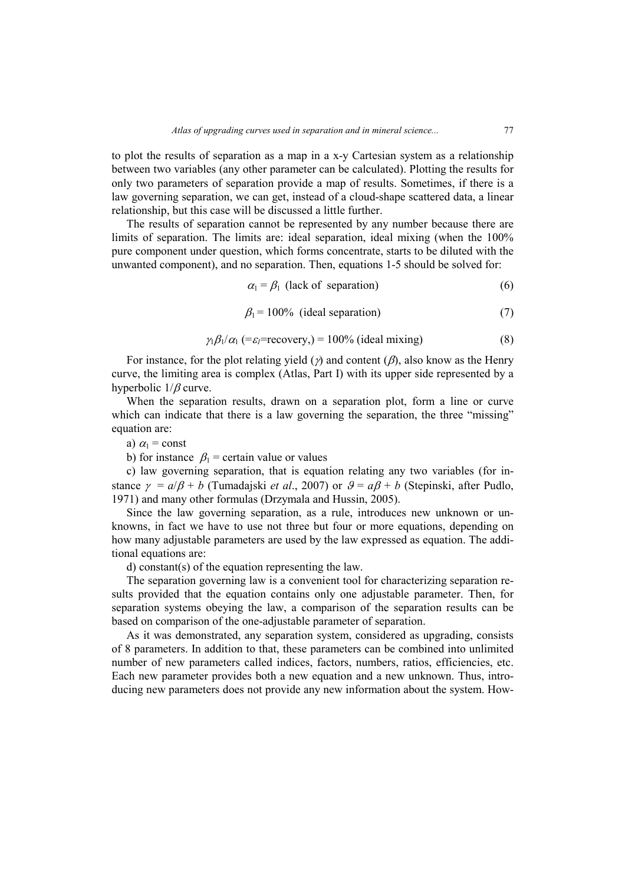to plot the results of separation as a map in a x-y Cartesian system as a relationship between two variables (any other parameter can be calculated). Plotting the results for only two parameters of separation provide a map of results. Sometimes, if there is a law governing separation, we can get, instead of a cloud-shape scattered data, a linear relationship, but this case will be discussed a little further.

The results of separation cannot be represented by any number because there are limits of separation. The limits are: ideal separation, ideal mixing (when the 100% pure component under question, which forms concentrate, starts to be diluted with the unwanted component), and no separation. Then, equations 1-5 should be solved for:

$$
\alpha_1 = \beta_1 \text{ (lack of separation)} \tag{6}
$$

$$
\beta_1 = 100\% \text{ (ideal separation)} \tag{7}
$$

$$
\gamma_1 \beta_1 / \alpha_1 \ (= \varepsilon_1 = \text{recovery}) = 100\% \text{ (ideal mixing)}
$$
 (8)

For instance, for the plot relating yield ( $\gamma$ ) and content ( $\beta$ ), also know as the Henry curve, the limiting area is complex (Atlas, Part I) with its upper side represented by a hyperbolic 1/β curve.

When the separation results, drawn on a separation plot, form a line or curve which can indicate that there is a law governing the separation, the three "missing" equation are:

a)  $\alpha_1$  = const

b) for instance  $\beta_1$  = certain value or values

c) law governing separation, that is equation relating any two variables (for instance  $\gamma = a/\beta + b$  (Tumadajski *et al.*, 2007) or  $\beta = a\beta + b$  (Stepinski, after Pudlo, 1971) and many other formulas (Drzymala and Hussin, 2005).

Since the law governing separation, as a rule, introduces new unknown or unknowns, in fact we have to use not three but four or more equations, depending on how many adjustable parameters are used by the law expressed as equation. The additional equations are:

d) constant(s) of the equation representing the law.

The separation governing law is a convenient tool for characterizing separation results provided that the equation contains only one adjustable parameter. Then, for separation systems obeying the law, a comparison of the separation results can be based on comparison of the one-adjustable parameter of separation.

As it was demonstrated, any separation system, considered as upgrading, consists of 8 parameters. In addition to that, these parameters can be combined into unlimited number of new parameters called indices, factors, numbers, ratios, efficiencies, etc. Each new parameter provides both a new equation and a new unknown. Thus, introducing new parameters does not provide any new information about the system. How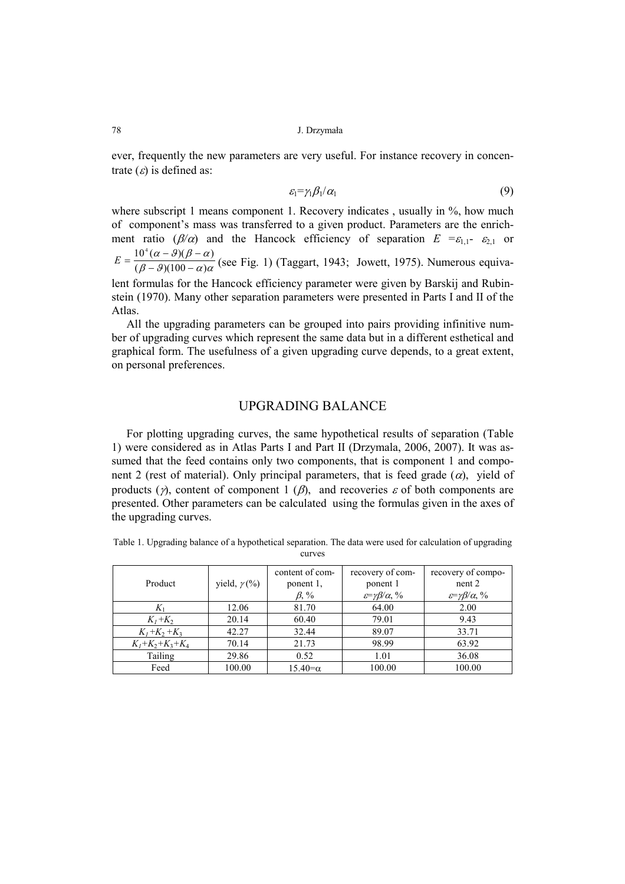78 J. Drzymała

ever, frequently the new parameters are very useful. For instance recovery in concentrate  $(\varepsilon)$  is defined as:

$$
\varepsilon_1 = \gamma_1 \beta_1 / \alpha_1 \tag{9}
$$

where subscript 1 means component 1. Recovery indicates, usually in %, how much of component's mass was transferred to a given product. Parameters are the enrichment ratio ( $\beta/\alpha$ ) and the Hancock efficiency of separation  $E = \varepsilon_{1,1} - \varepsilon_{2,1}$  or  $(\beta - \vartheta)(100 - \alpha)\alpha$  $(\alpha - \beta)(\beta - \alpha)$  $(\beta - \beta)(100 - \alpha)$  $10^4(\alpha - \theta)(\beta - \alpha)$ − 9)(100 –  $E = \frac{10^4 (\alpha - \theta)(\beta - \alpha)}{(\beta - \alpha)(100 - \alpha)\alpha}$  (see Fig. 1) (Taggart, 1943; Jowett, 1975). Numerous equiva-

lent formulas for the Hancock efficiency parameter were given by Barskij and Rubinstein (1970). Many other separation parameters were presented in Parts I and II of the Atlas.

All the upgrading parameters can be grouped into pairs providing infinitive number of upgrading curves which represent the same data but in a different esthetical and graphical form. The usefulness of a given upgrading curve depends, to a great extent, on personal preferences.

## UPGRADING BALANCE

For plotting upgrading curves, the same hypothetical results of separation (Table 1) were considered as in Atlas Parts I and Part II (Drzymala, 2006, 2007). It was assumed that the feed contains only two components, that is component 1 and component 2 (rest of material). Only principal parameters, that is feed grade  $(\alpha)$ , yield of products ( $\gamma$ ), content of component 1 ( $\beta$ ), and recoveries  $\varepsilon$  of both components are presented. Other parameters can be calculated using the formulas given in the axes of the upgrading curves.

| Table 1. Upgrading balance of a hypothetical separation. The data were used for calculation of upgrading |  |
|----------------------------------------------------------------------------------------------------------|--|
| curves                                                                                                   |  |

| Product           | yield, $\gamma$ (%) | content of com-<br>ponent 1,<br>$\beta$ , % | recovery of com-<br>ponent 1<br>$\varepsilon = \gamma \beta / \alpha$ , % | recovery of compo-<br>nent 2<br>$\varepsilon = \gamma \beta / \alpha$ , % |
|-------------------|---------------------|---------------------------------------------|---------------------------------------------------------------------------|---------------------------------------------------------------------------|
| $K_1$             | 12.06               | 81.70                                       | 64.00                                                                     | 2.00                                                                      |
| $K_1+K_2$         | 20.14               | 60.40                                       | 79.01                                                                     | 9.43                                                                      |
| $K_1 + K_2 + K_3$ | 42.27               | 32.44                                       | 89.07                                                                     | 33.71                                                                     |
| $K_1+K_2+K_3+K_4$ | 70.14               | 21.73                                       | 98.99                                                                     | 63.92                                                                     |
| Tailing           | 29.86               | 0.52                                        | 1.01                                                                      | 36.08                                                                     |
| Feed              | 100.00              | $15.40 = \alpha$                            | 100.00                                                                    | 100.00                                                                    |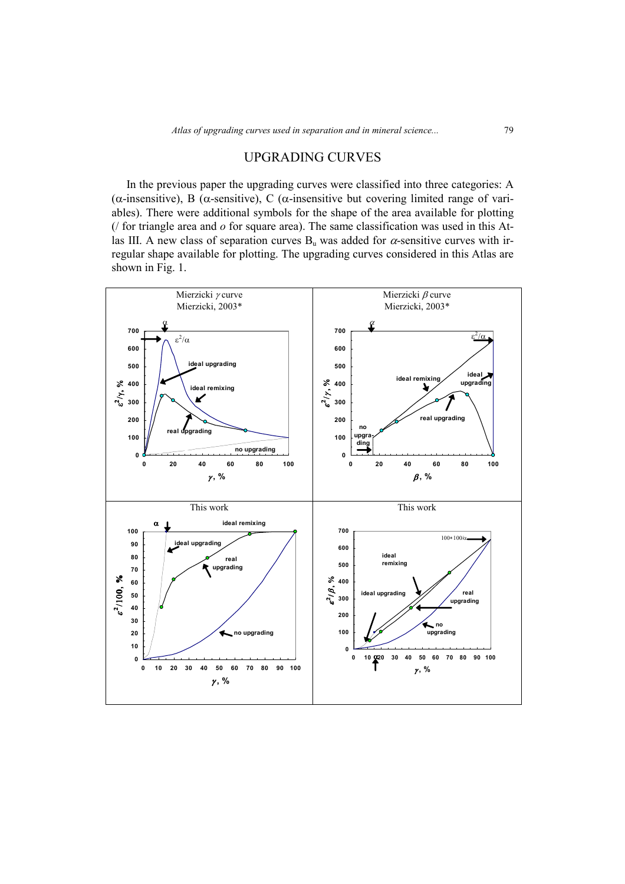# UPGRADING CURVES

In the previous paper the upgrading curves were classified into three categories: A (α-insensitive), B (α-sensitive), C (α-insensitive but covering limited range of variables). There were additional symbols for the shape of the area available for plotting (/ for triangle area and *o* for square area). The same classification was used in this Atlas III. A new class of separation curves  $B<sub>u</sub>$  was added for  $\alpha$ -sensitive curves with irregular shape available for plotting. The upgrading curves considered in this Atlas are shown in Fig. 1.

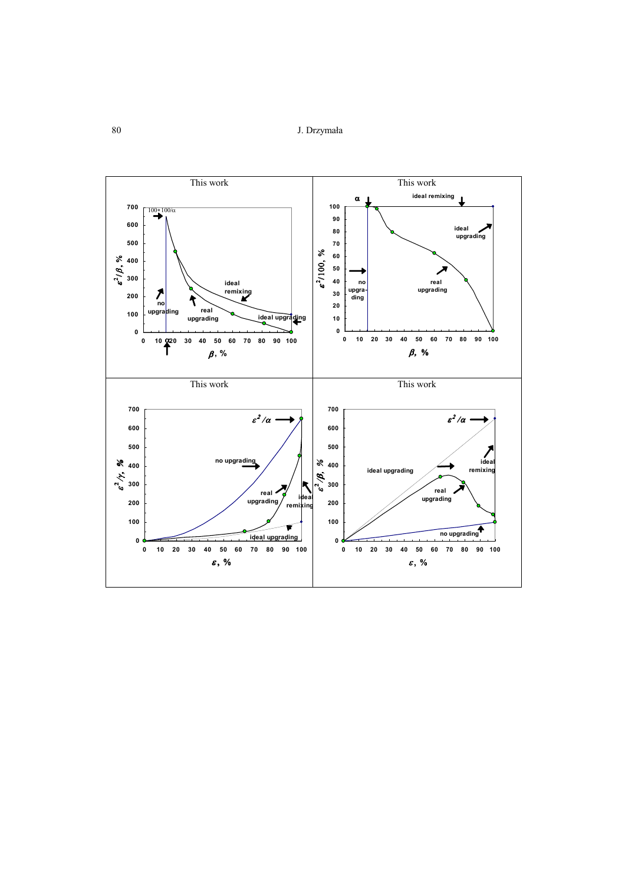80 J. Drzymała

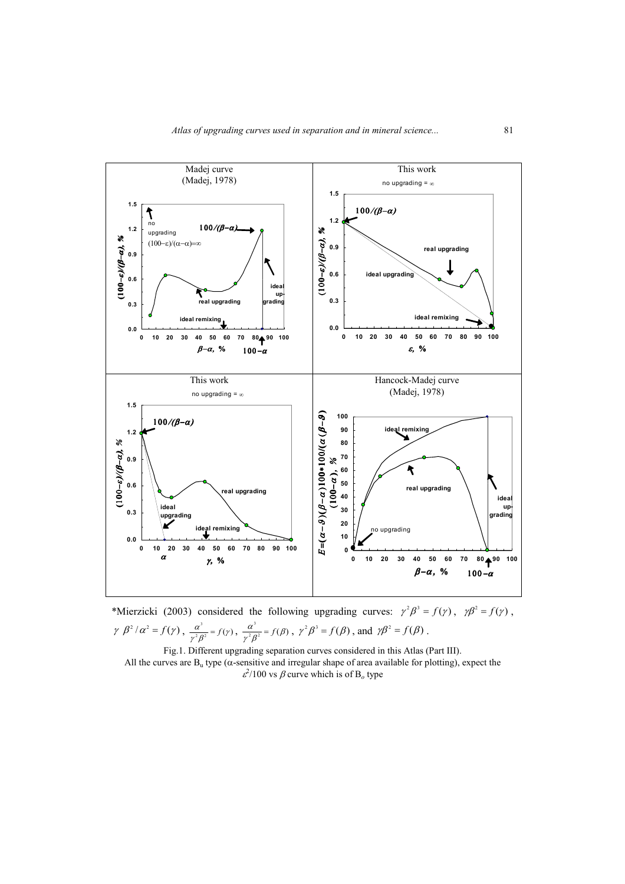

\*Mierzicki (2003) considered the following upgrading curves:  $\gamma^2 \beta^3 = f(\gamma)$ ,  $\gamma \beta^2 = f(\gamma)$ ,  $\gamma \beta^2/\alpha^2 = f(\gamma)$ ,  $\frac{\alpha^2}{\alpha^2 \beta^2} = f(\gamma)$  $\frac{\alpha^3}{\gamma^2 \beta^2} = f(\gamma)$  $\frac{\alpha^2}{\alpha^2} = f(\gamma), \ \frac{\alpha}{\alpha^2 \rho^2} = f(\beta)$  $\frac{\alpha^3}{\gamma^2 \beta^2} = f(\beta$  $\frac{\alpha}{\beta^2} = f(\beta)$ ,  $\gamma^2 \beta^3 = f(\beta)$ , and  $\gamma \beta^2 = f(\beta)$ .

Fig.1. Different upgrading separation curves considered in this Atlas (Part III). All the curves are  $B_u$  type ( $\alpha$ -sensitive and irregular shape of area available for plotting), expect the  $\varepsilon^2$ /100 vs  $\beta$  curve which is of B<sub>o</sub> type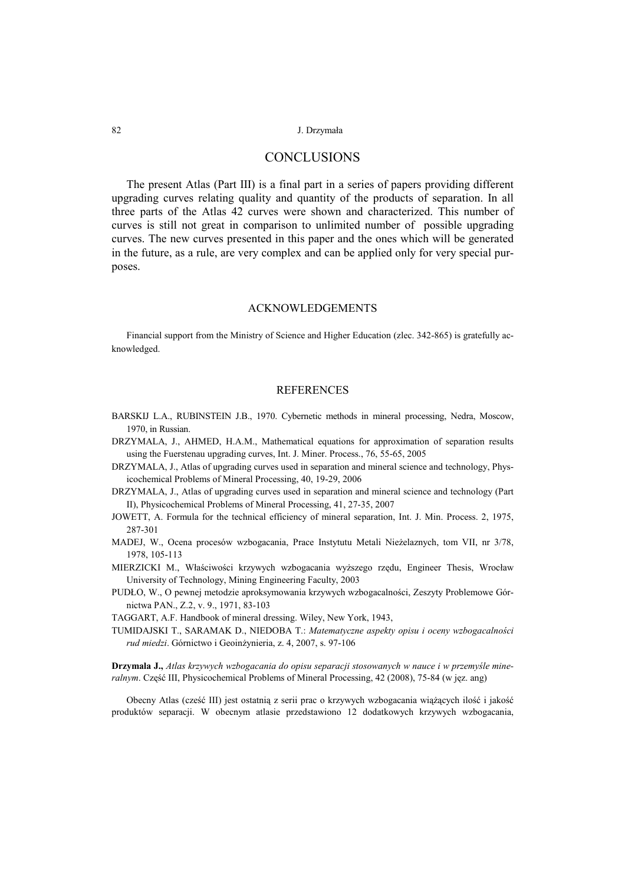#### 82 J. Drzymała

## **CONCLUSIONS**

The present Atlas (Part III) is a final part in a series of papers providing different upgrading curves relating quality and quantity of the products of separation. In all three parts of the Atlas 42 curves were shown and characterized. This number of curves is still not great in comparison to unlimited number of possible upgrading curves. The new curves presented in this paper and the ones which will be generated in the future, as a rule, are very complex and can be applied only for very special purposes.

### ACKNOWLEDGEMENTS

Financial support from the Ministry of Science and Higher Education (zlec. 342-865) is gratefully acknowledged.

### **REFERENCES**

- BARSKIJ L.A., RUBINSTEIN J.B., 1970. Cybernetic methods in mineral processing, Nedra, Moscow, 1970, in Russian.
- DRZYMALA, J., AHMED, H.A.M., Mathematical equations for approximation of separation results using the Fuerstenau upgrading curves, Int. J. Miner. Process., 76, 55-65, 2005
- DRZYMALA, J., Atlas of upgrading curves used in separation and mineral science and technology, Physicochemical Problems of Mineral Processing, 40, 19-29, 2006
- DRZYMALA, J., Atlas of upgrading curves used in separation and mineral science and technology (Part II), Physicochemical Problems of Mineral Processing, 41, 27-35, 2007
- JOWETT, A. Formula for the technical efficiency of mineral separation, Int. J. Min. Process. 2, 1975, 287-301
- MADEJ, W., Ocena procesów wzbogacania, Prace Instytutu Metali Nieżelaznych, tom VII, nr 3/78, 1978, 105-113
- MIERZICKI M., Właściwości krzywych wzbogacania wyższego rzędu, Engineer Thesis, Wrocław University of Technology, Mining Engineering Faculty, 2003
- PUDŁO, W., O pewnej metodzie aproksymowania krzywych wzbogacalności, Zeszyty Problemowe Górnictwa PAN., Z.2, v. 9., 1971, 83-103

TAGGART, A.F. Handbook of mineral dressing. Wiley, New York, 1943,

TUMIDAJSKI T., SARAMAK D., NIEDOBA T.: *Matematyczne aspekty opisu i oceny wzbogacalności rud miedzi*. Górnictwo i Geoinżynieria, z. 4, 2007, s. 97-106

**Drzymala J.,** *Atlas krzywych wzbogacania do opisu separacji stosowanych w nauce i w przemyśle mineralnym*. Część III, Physicochemical Problems of Mineral Processing, 42 (2008), 75-84 (w jęz. ang)

Obecny Atlas (cześć III) jest ostatnią z serii prac o krzywych wzbogacania wiążących ilość i jakość produktów separacji. W obecnym atlasie przedstawiono 12 dodatkowych krzywych wzbogacania,